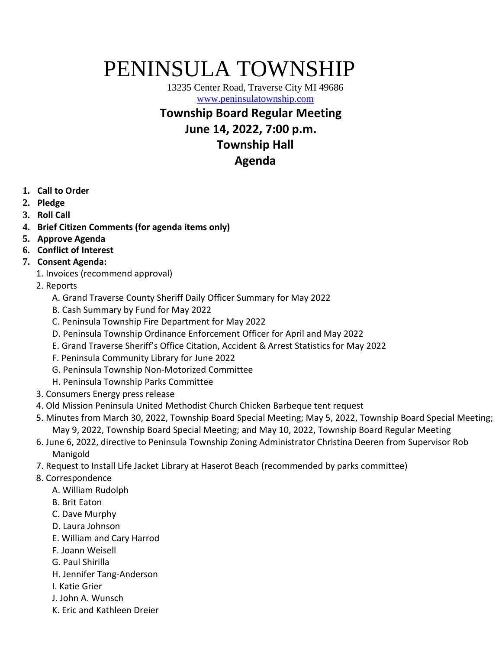# PENINSULA TOWNSHIP

13235 Center Road, Traverse City MI 49686 [www.peninsulatownship.com](http://www.peninsulatownship.com/)

#### **Township Board Regular Meeting**

**June 14, 2022, 7:00 p.m.**

### **Township Hall**

## **Agenda**

- **1. Call to Order**
- **2. Pledge**
- **3. Roll Call**
- **4. Brief Citizen Comments (for agenda items only)**
- **5. Approve Agenda**
- **6. Conflict of Interest**
- **7. Consent Agenda:** 
	- 1. Invoices (recommend approval)
	- 2. Reports
		- A. Grand Traverse County Sheriff Daily Officer Summary for May 2022
		- B. Cash Summary by Fund for May 2022
		- C. Peninsula Township Fire Department for May 2022
		- D. Peninsula Township Ordinance Enforcement Officer for April and May 2022
		- E. Grand Traverse Sheriff's Office Citation, Accident & Arrest Statistics for May 2022
		- F. Peninsula Community Library for June 2022
		- G. Peninsula Township Non-Motorized Committee
		- H. Peninsula Township Parks Committee
	- 3. Consumers Energy press release
	- 4. Old Mission Peninsula United Methodist Church Chicken Barbeque tent request
	- 5. Minutes from March 30, 2022, Township Board Special Meeting; May 5, 2022, Township Board Special Meeting; May 9, 2022, Township Board Special Meeting; and May 10, 2022, Township Board Regular Meeting
	- 6. June 6, 2022, directive to Peninsula Township Zoning Administrator Christina Deeren from Supervisor Rob Manigold
	- 7. Request to Install Life Jacket Library at Haserot Beach (recommended by parks committee)
	- 8. Correspondence
		- A. William Rudolph
		- B. Brit Eaton
		- C. Dave Murphy
		- D. Laura Johnson
		- E. William and Cary Harrod
		- F. Joann Weisell
		- G. Paul Shirilla
		- H. Jennifer Tang-Anderson
		- I. Katie Grier
		- J. John A. Wunsch
		- K. Eric and Kathleen Dreier